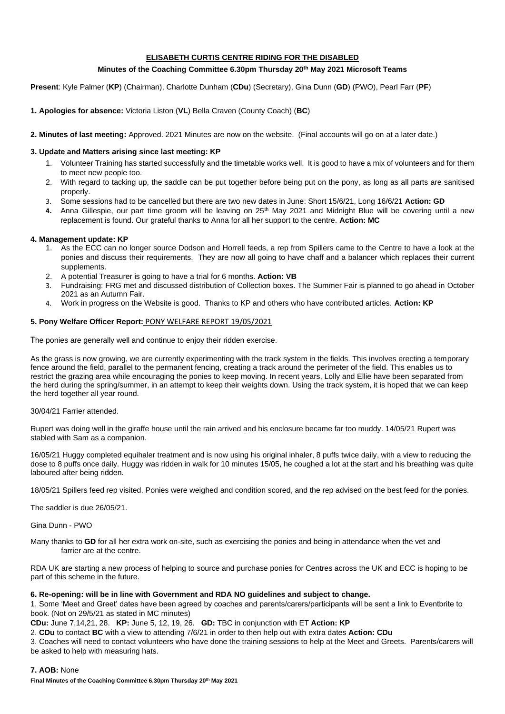# **ELISABETH CURTIS CENTRE RIDING FOR THE DISABLED**

# **Minutes of the Coaching Committee 6.30pm Thursday 20th May 2021 Microsoft Teams**

**Present**: Kyle Palmer (**KP**) (Chairman), Charlotte Dunham (**CDu**) (Secretary), Gina Dunn (**GD**) (PWO), Pearl Farr (**PF**)

- **1. Apologies for absence:** Victoria Liston (**VL**) Bella Craven (County Coach) (**BC**)
- **2. Minutes of last meeting:** Approved. 2021 Minutes are now on the website. (Final accounts will go on at a later date.)

## **3. Update and Matters arising since last meeting: KP**

- 1. Volunteer Training has started successfully and the timetable works well. It is good to have a mix of volunteers and for them to meet new people too.
- 2. With regard to tacking up, the saddle can be put together before being put on the pony, as long as all parts are sanitised properly.
- 3. Some sessions had to be cancelled but there are two new dates in June: Short 15/6/21, Long 16/6/21 **Action: GD**
- 4. Anna Gillespie, our part time groom will be leaving on 25<sup>th</sup> May 2021 and Midnight Blue will be covering until a new replacement is found. Our grateful thanks to Anna for all her support to the centre. **Action: MC**

### **4. Management update: KP**

- 1. As the ECC can no longer source Dodson and Horrell feeds, a rep from Spillers came to the Centre to have a look at the ponies and discuss their requirements. They are now all going to have chaff and a balancer which replaces their current supplements.
- 2. A potential Treasurer is going to have a trial for 6 months. **Action: VB**
- 3. Fundraising: FRG met and discussed distribution of Collection boxes. The Summer Fair is planned to go ahead in October 2021 as an Autumn Fair.
- 4. Work in progress on the Website is good. Thanks to KP and others who have contributed articles. **Action: KP**

### **5. Pony Welfare Officer Report:** PONY WELFARE REPORT 19/05/2021

The ponies are generally well and continue to enjoy their ridden exercise.

As the grass is now growing, we are currently experimenting with the track system in the fields. This involves erecting a temporary fence around the field, parallel to the permanent fencing, creating a track around the perimeter of the field. This enables us to restrict the grazing area while encouraging the ponies to keep moving. In recent years, Lolly and Ellie have been separated from the herd during the spring/summer, in an attempt to keep their weights down. Using the track system, it is hoped that we can keep the herd together all year round.

### 30/04/21 Farrier attended.

Rupert was doing well in the giraffe house until the rain arrived and his enclosure became far too muddy. 14/05/21 Rupert was stabled with Sam as a companion.

16/05/21 Huggy completed equihaler treatment and is now using his original inhaler, 8 puffs twice daily, with a view to reducing the dose to 8 puffs once daily. Huggy was ridden in walk for 10 minutes 15/05, he coughed a lot at the start and his breathing was quite laboured after being ridden.

18/05/21 Spillers feed rep visited. Ponies were weighed and condition scored, and the rep advised on the best feed for the ponies.

The saddler is due 26/05/21.

Gina Dunn - PWO

Many thanks to **GD** for all her extra work on-site, such as exercising the ponies and being in attendance when the vet and farrier are at the centre.

RDA UK are starting a new process of helping to source and purchase ponies for Centres across the UK and ECC is hoping to be part of this scheme in the future.

### **6. Re-opening: will be in line with Government and RDA NO guidelines and subject to change.**

1. Some 'Meet and Greet' dates have been agreed by coaches and parents/carers/participants will be sent a link to Eventbrite to book. (Not on 29/5/21 as stated in MC minutes)

**CDu:** June 7,14,21, 28. **KP:** June 5, 12, 19, 26. **GD:** TBC in conjunction with ET **Action: KP**

2. **CDu** to contact **BC** with a view to attending 7/6/21 in order to then help out with extra dates **Action: CDu**

3. Coaches will need to contact volunteers who have done the training sessions to help at the Meet and Greets. Parents/carers will be asked to help with measuring hats.

### **7. AOB:** None

**Final Minutes of the Coaching Committee 6.30pm Thursday 20th May 2021**